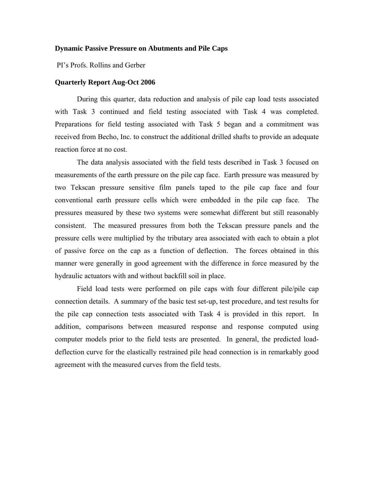#### **Dynamic Passive Pressure on Abutments and Pile Caps**

PI's Profs. Rollins and Gerber

# **Quarterly Report Aug-Oct 2006**

During this quarter, data reduction and analysis of pile cap load tests associated with Task 3 continued and field testing associated with Task 4 was completed. Preparations for field testing associated with Task 5 began and a commitment was received from Becho, Inc. to construct the additional drilled shafts to provide an adequate reaction force at no cost.

The data analysis associated with the field tests described in Task 3 focused on measurements of the earth pressure on the pile cap face. Earth pressure was measured by two Tekscan pressure sensitive film panels taped to the pile cap face and four conventional earth pressure cells which were embedded in the pile cap face. The pressures measured by these two systems were somewhat different but still reasonably consistent. The measured pressures from both the Tekscan pressure panels and the pressure cells were multiplied by the tributary area associated with each to obtain a plot of passive force on the cap as a function of deflection. The forces obtained in this manner were generally in good agreement with the difference in force measured by the hydraulic actuators with and without backfill soil in place.

Field load tests were performed on pile caps with four different pile/pile cap connection details. A summary of the basic test set-up, test procedure, and test results for the pile cap connection tests associated with Task 4 is provided in this report. In addition, comparisons between measured response and response computed using computer models prior to the field tests are presented. In general, the predicted loaddeflection curve for the elastically restrained pile head connection is in remarkably good agreement with the measured curves from the field tests.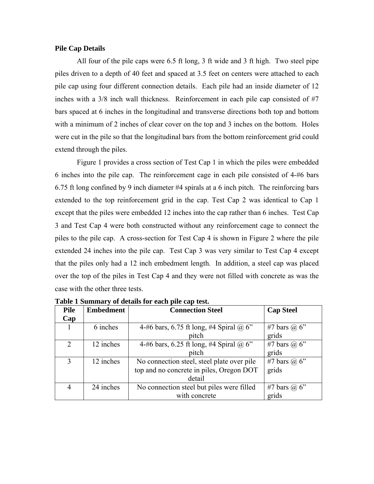## **Pile Cap Details**

All four of the pile caps were 6.5 ft long, 3 ft wide and 3 ft high. Two steel pipe piles driven to a depth of 40 feet and spaced at 3.5 feet on centers were attached to each pile cap using four different connection details. Each pile had an inside diameter of 12 inches with a 3/8 inch wall thickness. Reinforcement in each pile cap consisted of #7 bars spaced at 6 inches in the longitudinal and transverse directions both top and bottom with a minimum of 2 inches of clear cover on the top and 3 inches on the bottom. Holes were cut in the pile so that the longitudinal bars from the bottom reinforcement grid could extend through the piles.

Figure 1 provides a cross section of Test Cap 1 in which the piles were embedded 6 inches into the pile cap. The reinforcement cage in each pile consisted of 4-#6 bars 6.75 ft long confined by 9 inch diameter #4 spirals at a 6 inch pitch. The reinforcing bars extended to the top reinforcement grid in the cap. Test Cap 2 was identical to Cap 1 except that the piles were embedded 12 inches into the cap rather than 6 inches. Test Cap 3 and Test Cap 4 were both constructed without any reinforcement cage to connect the piles to the pile cap. A cross-section for Test Cap 4 is shown in Figure 2 where the pile extended 24 inches into the pile cap. Test Cap 3 was very similar to Test Cap 4 except that the piles only had a 12 inch embedment length. In addition, a steel cap was placed over the top of the piles in Test Cap 4 and they were not filled with concrete as was the case with the other three tests.

| <b>Pile</b>                 | <b>Embedment</b> | <b>Connection Steel</b>                    | <b>Cap Steel</b>    |
|-----------------------------|------------------|--------------------------------------------|---------------------|
| Cap                         |                  |                                            |                     |
|                             | 6 inches         | 4-#6 bars, 6.75 ft long, #4 Spiral @ 6"    | #7 bars $\omega$ 6" |
|                             |                  | pitch                                      | grids               |
| $\mathcal{D}_{\mathcal{L}}$ | 12 inches        | 4-#6 bars, 6.25 ft long, #4 Spiral @ 6"    | #7 bars $(a)$ 6"    |
|                             |                  | pitch                                      | grids               |
| $\mathcal{R}$               | 12 inches        | No connection steel, steel plate over pile | #7 bars $\omega$ 6" |
|                             |                  | top and no concrete in piles, Oregon DOT   | grids               |
|                             |                  | detail                                     |                     |
|                             | 24 inches        | No connection steel but piles were filled  | #7 bars $\omega$ 6" |
|                             |                  | with concrete                              | grids               |

**Table 1 Summary of details for each pile cap test.**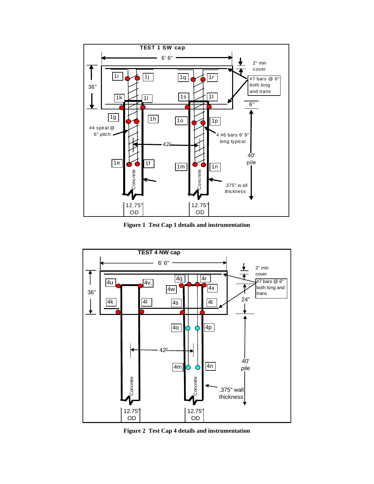

**Figure 1 Test Cap 1 details and instrumentation** 



**Figure 2 Test Cap 4 details and instrumentation**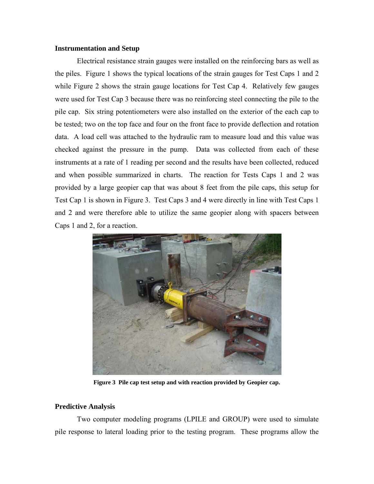## **Instrumentation and Setup**

Electrical resistance strain gauges were installed on the reinforcing bars as well as the piles. Figure 1 shows the typical locations of the strain gauges for Test Caps 1 and 2 while Figure 2 shows the strain gauge locations for Test Cap 4. Relatively few gauges were used for Test Cap 3 because there was no reinforcing steel connecting the pile to the pile cap. Six string potentiometers were also installed on the exterior of the each cap to be tested; two on the top face and four on the front face to provide deflection and rotation data. A load cell was attached to the hydraulic ram to measure load and this value was checked against the pressure in the pump. Data was collected from each of these instruments at a rate of 1 reading per second and the results have been collected, reduced and when possible summarized in charts. The reaction for Tests Caps 1 and 2 was provided by a large geopier cap that was about 8 feet from the pile caps, this setup for Test Cap 1 is shown in Figure 3. Test Caps 3 and 4 were directly in line with Test Caps 1 and 2 and were therefore able to utilize the same geopier along with spacers between Caps 1 and 2, for a reaction.



**Figure 3 Pile cap test setup and with reaction provided by Geopier cap.** 

## **Predictive Analysis**

Two computer modeling programs (LPILE and GROUP) were used to simulate pile response to lateral loading prior to the testing program. These programs allow the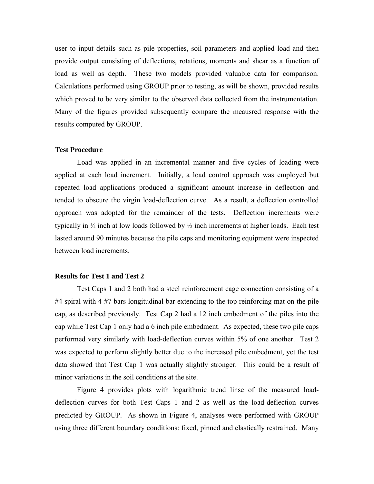user to input details such as pile properties, soil parameters and applied load and then provide output consisting of deflections, rotations, moments and shear as a function of load as well as depth. These two models provided valuable data for comparison. Calculations performed using GROUP prior to testing, as will be shown, provided results which proved to be very similar to the observed data collected from the instrumentation. Many of the figures provided subsequently compare the meausred response with the results computed by GROUP.

## **Test Procedure**

Load was applied in an incremental manner and five cycles of loading were applied at each load increment. Initially, a load control approach was employed but repeated load applications produced a significant amount increase in deflection and tended to obscure the virgin load-deflection curve. As a result, a deflection controlled approach was adopted for the remainder of the tests. Deflection increments were typically in  $\frac{1}{4}$  inch at low loads followed by  $\frac{1}{2}$  inch increments at higher loads. Each test lasted around 90 minutes because the pile caps and monitoring equipment were inspected between load increments.

### **Results for Test 1 and Test 2**

Test Caps 1 and 2 both had a steel reinforcement cage connection consisting of a #4 spiral with 4 #7 bars longitudinal bar extending to the top reinforcing mat on the pile cap, as described previously. Test Cap 2 had a 12 inch embedment of the piles into the cap while Test Cap 1 only had a 6 inch pile embedment. As expected, these two pile caps performed very similarly with load-deflection curves within 5% of one another. Test 2 was expected to perform slightly better due to the increased pile embedment, yet the test data showed that Test Cap 1 was actually slightly stronger. This could be a result of minor variations in the soil conditions at the site.

Figure 4 provides plots with logarithmic trend linse of the measured loaddeflection curves for both Test Caps 1 and 2 as well as the load-deflection curves predicted by GROUP. As shown in Figure 4, analyses were performed with GROUP using three different boundary conditions: fixed, pinned and elastically restrained. Many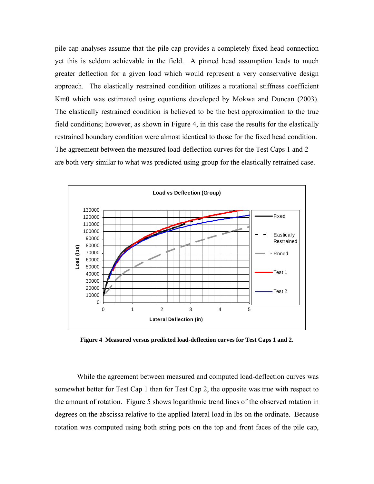pile cap analyses assume that the pile cap provides a completely fixed head connection yet this is seldom achievable in the field. A pinned head assumption leads to much greater deflection for a given load which would represent a very conservative design approach. The elastically restrained condition utilizes a rotational stiffness coefficient Kmθ which was estimated using equations developed by Mokwa and Duncan (2003). The elastically restrained condition is believed to be the best approximation to the true field conditions; however, as shown in Figure 4, in this case the results for the elastically restrained boundary condition were almost identical to those for the fixed head condition. The agreement between the measured load-deflection curves for the Test Caps 1 and 2 are both very similar to what was predicted using group for the elastically retrained case.



**Figure 4 Measured versus predicted load-deflection curves for Test Caps 1 and 2.** 

While the agreement between measured and computed load-deflection curves was somewhat better for Test Cap 1 than for Test Cap 2, the opposite was true with respect to the amount of rotation. Figure 5 shows logarithmic trend lines of the observed rotation in degrees on the abscissa relative to the applied lateral load in lbs on the ordinate. Because rotation was computed using both string pots on the top and front faces of the pile cap,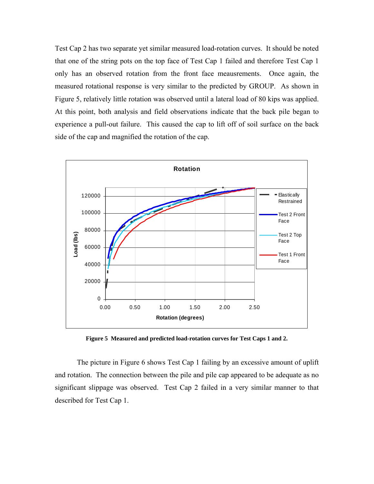Test Cap 2 has two separate yet similar measured load-rotation curves. It should be noted that one of the string pots on the top face of Test Cap 1 failed and therefore Test Cap 1 only has an observed rotation from the front face meausrements. Once again, the measured rotational response is very similar to the predicted by GROUP. As shown in Figure 5, relatively little rotation was observed until a lateral load of 80 kips was applied. At this point, both analysis and field observations indicate that the back pile began to experience a pull-out failure. This caused the cap to lift off of soil surface on the back side of the cap and magnified the rotation of the cap.



**Figure 5 Measured and predicted load-rotation curves for Test Caps 1 and 2.** 

The picture in Figure 6 shows Test Cap 1 failing by an excessive amount of uplift and rotation. The connection between the pile and pile cap appeared to be adequate as no significant slippage was observed. Test Cap 2 failed in a very similar manner to that described for Test Cap 1.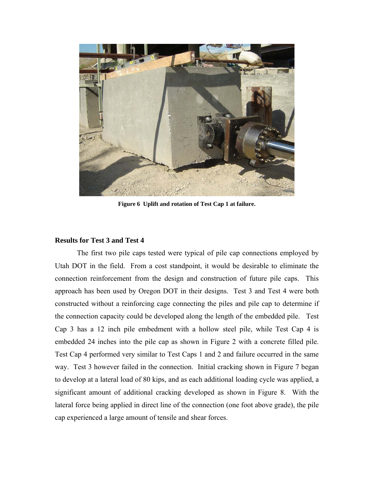

**Figure 6 Uplift and rotation of Test Cap 1 at failure.** 

# **Results for Test 3 and Test 4**

The first two pile caps tested were typical of pile cap connections employed by Utah DOT in the field. From a cost standpoint, it would be desirable to eliminate the connection reinforcement from the design and construction of future pile caps. This approach has been used by Oregon DOT in their designs. Test 3 and Test 4 were both constructed without a reinforcing cage connecting the piles and pile cap to determine if the connection capacity could be developed along the length of the embedded pile. Test Cap 3 has a 12 inch pile embedment with a hollow steel pile, while Test Cap 4 is embedded 24 inches into the pile cap as shown in Figure 2 with a concrete filled pile. Test Cap 4 performed very similar to Test Caps 1 and 2 and failure occurred in the same way. Test 3 however failed in the connection. Initial cracking shown in Figure 7 began to develop at a lateral load of 80 kips, and as each additional loading cycle was applied, a significant amount of additional cracking developed as shown in Figure 8. With the lateral force being applied in direct line of the connection (one foot above grade), the pile cap experienced a large amount of tensile and shear forces.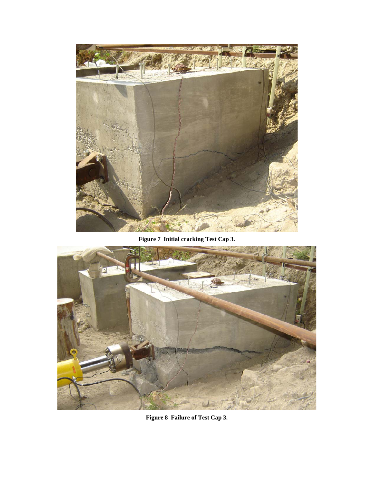

**Figure 7 Initial cracking Test Cap 3.** 



**Figure 8 Failure of Test Cap 3.**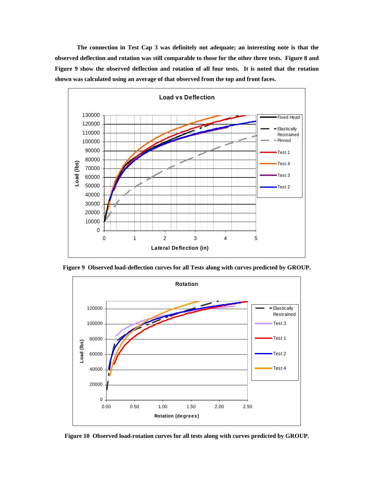**The connection in Test Cap 3 was definitely not adequate; an interesting note is that the observed deflection and rotation was still comparable to those for the other three tests. Figure 8 and Figure 9 show the observed deflection and rotation of all four tests. It is noted that the rotation shown was calculated using an average of that observed from the top and front faces.** 



**Figure 9 Observed load-deflection curves for all Tests along with curves predicted by GROUP.** 



**Figure 10 Observed load-rotation curves for all tests along with curves predicted by GROUP.**